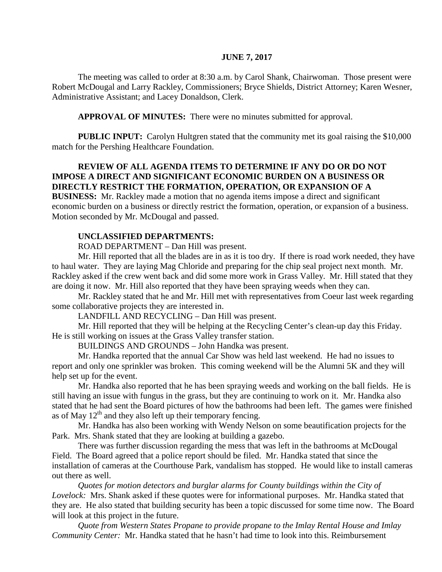#### **JUNE 7, 2017**

The meeting was called to order at 8:30 a.m. by Carol Shank, Chairwoman. Those present were Robert McDougal and Larry Rackley, Commissioners; Bryce Shields, District Attorney; Karen Wesner, Administrative Assistant; and Lacey Donaldson, Clerk.

**APPROVAL OF MINUTES:** There were no minutes submitted for approval.

**PUBLIC INPUT:** Carolyn Hultgren stated that the community met its goal raising the \$10,000 match for the Pershing Healthcare Foundation.

## **REVIEW OF ALL AGENDA ITEMS TO DETERMINE IF ANY DO OR DO NOT IMPOSE A DIRECT AND SIGNIFICANT ECONOMIC BURDEN ON A BUSINESS OR DIRECTLY RESTRICT THE FORMATION, OPERATION, OR EXPANSION OF A**

**BUSINESS:** Mr. Rackley made a motion that no agenda items impose a direct and significant economic burden on a business or directly restrict the formation, operation, or expansion of a business. Motion seconded by Mr. McDougal and passed.

#### **UNCLASSIFIED DEPARTMENTS:**

ROAD DEPARTMENT – Dan Hill was present.

Mr. Hill reported that all the blades are in as it is too dry. If there is road work needed, they have to haul water. They are laying Mag Chloride and preparing for the chip seal project next month. Mr. Rackley asked if the crew went back and did some more work in Grass Valley. Mr. Hill stated that they are doing it now. Mr. Hill also reported that they have been spraying weeds when they can.

Mr. Rackley stated that he and Mr. Hill met with representatives from Coeur last week regarding some collaborative projects they are interested in.

LANDFILL AND RECYCLING – Dan Hill was present.

Mr. Hill reported that they will be helping at the Recycling Center's clean-up day this Friday. He is still working on issues at the Grass Valley transfer station.

BUILDINGS AND GROUNDS – John Handka was present.

Mr. Handka reported that the annual Car Show was held last weekend. He had no issues to report and only one sprinkler was broken. This coming weekend will be the Alumni 5K and they will help set up for the event.

Mr. Handka also reported that he has been spraying weeds and working on the ball fields. He is still having an issue with fungus in the grass, but they are continuing to work on it. Mr. Handka also stated that he had sent the Board pictures of how the bathrooms had been left. The games were finished as of May  $12<sup>th</sup>$  and they also left up their temporary fencing.

Mr. Handka has also been working with Wendy Nelson on some beautification projects for the Park. Mrs. Shank stated that they are looking at building a gazebo.

There was further discussion regarding the mess that was left in the bathrooms at McDougal Field. The Board agreed that a police report should be filed. Mr. Handka stated that since the installation of cameras at the Courthouse Park, vandalism has stopped. He would like to install cameras out there as well.

*Quotes for motion detectors and burglar alarms for County buildings within the City of Lovelock:* Mrs. Shank asked if these quotes were for informational purposes. Mr. Handka stated that they are. He also stated that building security has been a topic discussed for some time now. The Board will look at this project in the future.

*Quote from Western States Propane to provide propane to the Imlay Rental House and Imlay Community Center:* Mr. Handka stated that he hasn't had time to look into this. Reimbursement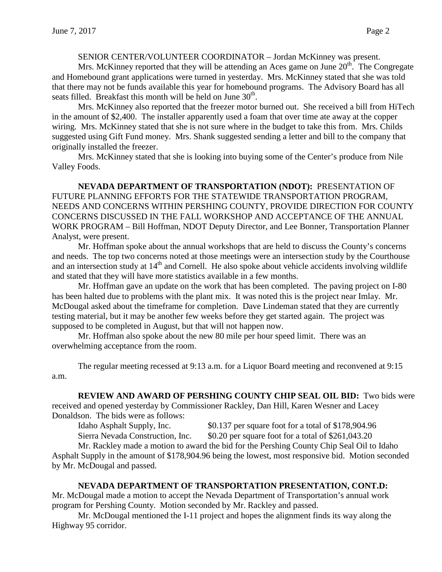#### SENIOR CENTER/VOLUNTEER COORDINATOR – Jordan McKinney was present.

Mrs. McKinney reported that they will be attending an Aces game on June  $20<sup>th</sup>$ . The Congregate and Homebound grant applications were turned in yesterday. Mrs. McKinney stated that she was told that there may not be funds available this year for homebound programs. The Advisory Board has all seats filled. Breakfast this month will be held on June  $30<sup>th</sup>$ .

Mrs. McKinney also reported that the freezer motor burned out. She received a bill from HiTech in the amount of \$2,400. The installer apparently used a foam that over time ate away at the copper wiring. Mrs. McKinney stated that she is not sure where in the budget to take this from. Mrs. Childs suggested using Gift Fund money. Mrs. Shank suggested sending a letter and bill to the company that originally installed the freezer.

Mrs. McKinney stated that she is looking into buying some of the Center's produce from Nile Valley Foods.

**NEVADA DEPARTMENT OF TRANSPORTATION (NDOT):** PRESENTATION OF FUTURE PLANNING EFFORTS FOR THE STATEWIDE TRANSPORTATION PROGRAM, NEEDS AND CONCERNS WITHIN PERSHING COUNTY, PROVIDE DIRECTION FOR COUNTY CONCERNS DISCUSSED IN THE FALL WORKSHOP AND ACCEPTANCE OF THE ANNUAL WORK PROGRAM – Bill Hoffman, NDOT Deputy Director, and Lee Bonner, Transportation Planner Analyst, were present.

Mr. Hoffman spoke about the annual workshops that are held to discuss the County's concerns and needs. The top two concerns noted at those meetings were an intersection study by the Courthouse and an intersection study at 14<sup>th</sup> and Cornell. He also spoke about vehicle accidents involving wildlife and stated that they will have more statistics available in a few months.

Mr. Hoffman gave an update on the work that has been completed. The paving project on I-80 has been halted due to problems with the plant mix. It was noted this is the project near Imlay. Mr. McDougal asked about the timeframe for completion. Dave Lindeman stated that they are currently testing material, but it may be another few weeks before they get started again. The project was supposed to be completed in August, but that will not happen now.

Mr. Hoffman also spoke about the new 80 mile per hour speed limit. There was an overwhelming acceptance from the room.

The regular meeting recessed at 9:13 a.m. for a Liquor Board meeting and reconvened at 9:15 a.m.

#### **REVIEW AND AWARD OF PERSHING COUNTY CHIP SEAL OIL BID:** Two bids were

received and opened yesterday by Commissioner Rackley, Dan Hill, Karen Wesner and Lacey Donaldson. The bids were as follows:

Idaho Asphalt Supply, Inc. \$0.137 per square foot for a total of \$178,904.96

Sierra Nevada Construction, Inc. \$0.20 per square foot for a total of \$261,043.20

Mr. Rackley made a motion to award the bid for the Pershing County Chip Seal Oil to Idaho Asphalt Supply in the amount of \$178,904.96 being the lowest, most responsive bid. Motion seconded by Mr. McDougal and passed.

#### **NEVADA DEPARTMENT OF TRANSPORTATION PRESENTATION, CONT.D:**

Mr. McDougal made a motion to accept the Nevada Department of Transportation's annual work program for Pershing County. Motion seconded by Mr. Rackley and passed.

Mr. McDougal mentioned the I-11 project and hopes the alignment finds its way along the Highway 95 corridor.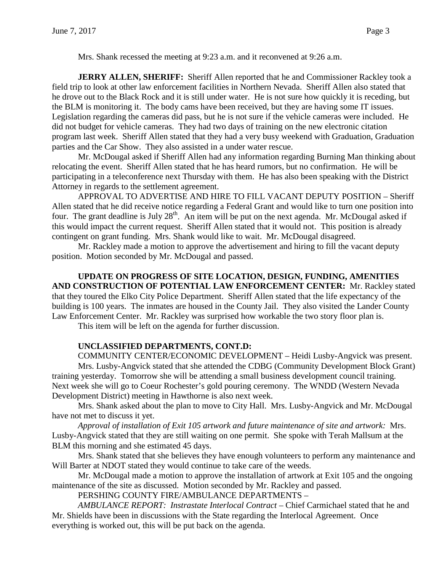Mrs. Shank recessed the meeting at 9:23 a.m. and it reconvened at 9:26 a.m.

**JERRY ALLEN, SHERIFF:** Sheriff Allen reported that he and Commissioner Rackley took a field trip to look at other law enforcement facilities in Northern Nevada. Sheriff Allen also stated that he drove out to the Black Rock and it is still under water. He is not sure how quickly it is receding, but the BLM is monitoring it. The body cams have been received, but they are having some IT issues. Legislation regarding the cameras did pass, but he is not sure if the vehicle cameras were included. He did not budget for vehicle cameras. They had two days of training on the new electronic citation program last week. Sheriff Allen stated that they had a very busy weekend with Graduation, Graduation parties and the Car Show. They also assisted in a under water rescue.

Mr. McDougal asked if Sheriff Allen had any information regarding Burning Man thinking about relocating the event. Sheriff Allen stated that he has heard rumors, but no confirmation. He will be participating in a teleconference next Thursday with them. He has also been speaking with the District Attorney in regards to the settlement agreement.

APPROVAL TO ADVERTISE AND HIRE TO FILL VACANT DEPUTY POSITION – Sheriff Allen stated that he did receive notice regarding a Federal Grant and would like to turn one position into four. The grant deadline is July  $28<sup>th</sup>$ . An item will be put on the next agenda. Mr. McDougal asked if this would impact the current request. Sheriff Allen stated that it would not. This position is already contingent on grant funding. Mrs. Shank would like to wait. Mr. McDougal disagreed.

Mr. Rackley made a motion to approve the advertisement and hiring to fill the vacant deputy position. Motion seconded by Mr. McDougal and passed.

**UPDATE ON PROGRESS OF SITE LOCATION, DESIGN, FUNDING, AMENITIES AND CONSTRUCTION OF POTENTIAL LAW ENFORCEMENT CENTER:** Mr. Rackley stated that they toured the Elko City Police Department. Sheriff Allen stated that the life expectancy of the building is 100 years. The inmates are housed in the County Jail. They also visited the Lander County Law Enforcement Center. Mr. Rackley was surprised how workable the two story floor plan is.

This item will be left on the agenda for further discussion.

# **UNCLASSIFIED DEPARTMENTS, CONT.D:**

COMMUNITY CENTER/ECONOMIC DEVELOPMENT – Heidi Lusby-Angvick was present. Mrs. Lusby-Angvick stated that she attended the CDBG (Community Development Block Grant) training yesterday. Tomorrow she will be attending a small business development council training. Next week she will go to Coeur Rochester's gold pouring ceremony. The WNDD (Western Nevada Development District) meeting in Hawthorne is also next week.

Mrs. Shank asked about the plan to move to City Hall. Mrs. Lusby-Angvick and Mr. McDougal have not met to discuss it yet.

*Approval of installation of Exit 105 artwork and future maintenance of site and artwork:* Mrs. Lusby-Angvick stated that they are still waiting on one permit. She spoke with Terah Mallsum at the BLM this morning and she estimated 45 days.

Mrs. Shank stated that she believes they have enough volunteers to perform any maintenance and Will Barter at NDOT stated they would continue to take care of the weeds.

Mr. McDougal made a motion to approve the installation of artwork at Exit 105 and the ongoing maintenance of the site as discussed. Motion seconded by Mr. Rackley and passed.

PERSHING COUNTY FIRE/AMBULANCE DEPARTMENTS –

*AMBULANCE REPORT: Instrastate Interlocal Contract –* Chief Carmichael stated that he and Mr. Shields have been in discussions with the State regarding the Interlocal Agreement. Once everything is worked out, this will be put back on the agenda.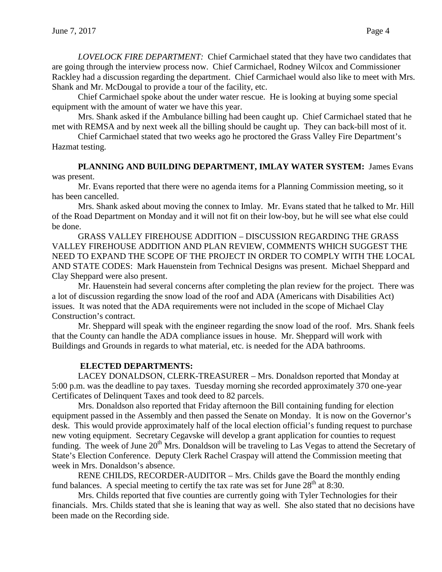*LOVELOCK FIRE DEPARTMENT:* Chief Carmichael stated that they have two candidates that are going through the interview process now. Chief Carmichael, Rodney Wilcox and Commissioner Rackley had a discussion regarding the department. Chief Carmichael would also like to meet with Mrs. Shank and Mr. McDougal to provide a tour of the facility, etc.

Chief Carmichael spoke about the under water rescue. He is looking at buying some special equipment with the amount of water we have this year.

Mrs. Shank asked if the Ambulance billing had been caught up. Chief Carmichael stated that he met with REMSA and by next week all the billing should be caught up. They can back-bill most of it.

Chief Carmichael stated that two weeks ago he proctored the Grass Valley Fire Department's Hazmat testing.

### **PLANNING AND BUILDING DEPARTMENT, IMLAY WATER SYSTEM:** James Evans was present.

Mr. Evans reported that there were no agenda items for a Planning Commission meeting, so it has been cancelled.

Mrs. Shank asked about moving the connex to Imlay. Mr. Evans stated that he talked to Mr. Hill of the Road Department on Monday and it will not fit on their low-boy, but he will see what else could be done.

GRASS VALLEY FIREHOUSE ADDITION – DISCUSSION REGARDING THE GRASS VALLEY FIREHOUSE ADDITION AND PLAN REVIEW, COMMENTS WHICH SUGGEST THE NEED TO EXPAND THE SCOPE OF THE PROJECT IN ORDER TO COMPLY WITH THE LOCAL AND STATE CODES: Mark Hauenstein from Technical Designs was present. Michael Sheppard and Clay Sheppard were also present.

Mr. Hauenstein had several concerns after completing the plan review for the project. There was a lot of discussion regarding the snow load of the roof and ADA (Americans with Disabilities Act) issues. It was noted that the ADA requirements were not included in the scope of Michael Clay Construction's contract.

Mr. Sheppard will speak with the engineer regarding the snow load of the roof. Mrs. Shank feels that the County can handle the ADA compliance issues in house. Mr. Sheppard will work with Buildings and Grounds in regards to what material, etc. is needed for the ADA bathrooms.

# **ELECTED DEPARTMENTS:**

LACEY DONALDSON, CLERK-TREASURER – Mrs. Donaldson reported that Monday at 5:00 p.m. was the deadline to pay taxes. Tuesday morning she recorded approximately 370 one-year Certificates of Delinquent Taxes and took deed to 82 parcels.

Mrs. Donaldson also reported that Friday afternoon the Bill containing funding for election equipment passed in the Assembly and then passed the Senate on Monday. It is now on the Governor's desk. This would provide approximately half of the local election official's funding request to purchase new voting equipment. Secretary Cegavske will develop a grant application for counties to request funding. The week of June  $20<sup>th</sup>$  Mrs. Donaldson will be traveling to Las Vegas to attend the Secretary of State's Election Conference. Deputy Clerk Rachel Craspay will attend the Commission meeting that week in Mrs. Donaldson's absence.

RENE CHILDS, RECORDER-AUDITOR – Mrs. Childs gave the Board the monthly ending fund balances. A special meeting to certify the tax rate was set for June  $28<sup>th</sup>$  at 8:30.

Mrs. Childs reported that five counties are currently going with Tyler Technologies for their financials. Mrs. Childs stated that she is leaning that way as well. She also stated that no decisions have been made on the Recording side.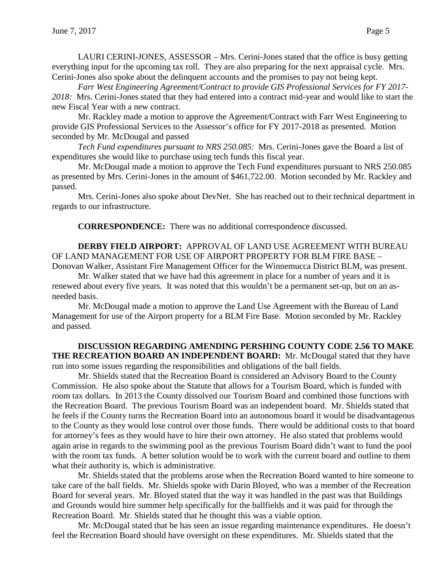LAURI CERINI-JONES, ASSESSOR – Mrs. Cerini-Jones stated that the office is busy getting everything input for the upcoming tax roll. They are also preparing for the next appraisal cycle. Mrs. Cerini-Jones also spoke about the delinquent accounts and the promises to pay not being kept.

*Farr West Engineering Agreement/Contract to provide GIS Professional Services for FY 2017- 2018:* Mrs. Cerini-Jones stated that they had entered into a contract mid-year and would like to start the new Fiscal Year with a new contract.

Mr. Rackley made a motion to approve the Agreement/Contract with Farr West Engineering to provide GIS Professional Services to the Assessor's office for FY 2017-2018 as presented. Motion seconded by Mr. McDougal and passed

*Tech Fund expenditures pursuant to NRS 250.085:* Mrs. Cerini-Jones gave the Board a list of expenditures she would like to purchase using tech funds this fiscal year.

Mr. McDougal made a motion to approve the Tech Fund expenditures pursuant to NRS 250.085 as presented by Mrs. Cerini-Jones in the amount of \$461,722.00. Motion seconded by Mr. Rackley and passed.

Mrs. Cerini-Jones also spoke about DevNet. She has reached out to their technical department in regards to our infrastructure.

**CORRESPONDENCE:** There was no additional correspondence discussed.

**DERBY FIELD AIRPORT:** APPROVAL OF LAND USE AGREEMENT WITH BUREAU OF LAND MANAGEMENT FOR USE OF AIRPORT PROPERTY FOR BLM FIRE BASE – Donovan Walker, Assistant Fire Management Officer for the Winnemucca District BLM, was present.

Mr. Walker stated that we have had this agreement in place for a number of years and it is renewed about every five years. It was noted that this wouldn't be a permanent set-up, but on an asneeded basis.

Mr. McDougal made a motion to approve the Land Use Agreement with the Bureau of Land Management for use of the Airport property for a BLM Fire Base. Motion seconded by Mr. Rackley and passed.

**DISCUSSION REGARDING AMENDING PERSHING COUNTY CODE 2.56 TO MAKE THE RECREATION BOARD AN INDEPENDENT BOARD:** Mr. McDougal stated that they have run into some issues regarding the responsibilities and obligations of the ball fields.

Mr. Shields stated that the Recreation Board is considered an Advisory Board to the County Commission. He also spoke about the Statute that allows for a Tourism Board, which is funded with room tax dollars. In 2013 the County dissolved our Tourism Board and combined those functions with the Recreation Board. The previous Tourism Board was an independent board. Mr. Shields stated that he feels if the County turns the Recreation Board into an autonomous board it would be disadvantageous to the County as they would lose control over those funds. There would be additional costs to that board for attorney's fees as they would have to hire their own attorney. He also stated that problems would again arise in regards to the swimming pool as the previous Tourism Board didn't want to fund the pool with the room tax funds. A better solution would be to work with the current board and outline to them what their authority is, which is administrative.

Mr. Shields stated that the problems arose when the Recreation Board wanted to hire someone to take care of the ball fields. Mr. Shields spoke with Darin Bloyed, who was a member of the Recreation Board for several years. Mr. Bloyed stated that the way it was handled in the past was that Buildings and Grounds would hire summer help specifically for the ballfields and it was paid for through the Recreation Board. Mr. Shields stated that he thought this was a viable option.

Mr. McDougal stated that he has seen an issue regarding maintenance expenditures. He doesn't feel the Recreation Board should have oversight on these expenditures. Mr. Shields stated that the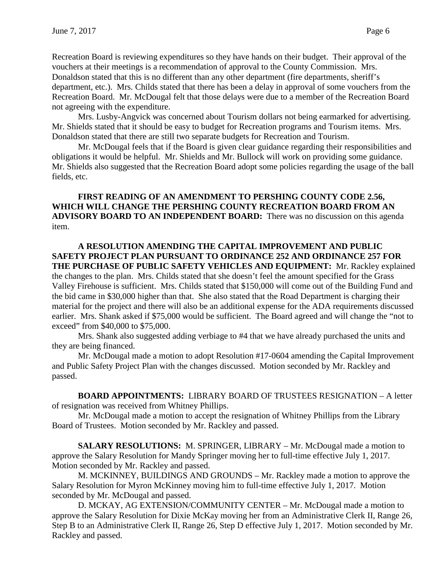Recreation Board is reviewing expenditures so they have hands on their budget. Their approval of the vouchers at their meetings is a recommendation of approval to the County Commission. Mrs. Donaldson stated that this is no different than any other department (fire departments, sheriff's department, etc.). Mrs. Childs stated that there has been a delay in approval of some vouchers from the Recreation Board. Mr. McDougal felt that those delays were due to a member of the Recreation Board not agreeing with the expenditure.

Mrs. Lusby-Angvick was concerned about Tourism dollars not being earmarked for advertising. Mr. Shields stated that it should be easy to budget for Recreation programs and Tourism items. Mrs. Donaldson stated that there are still two separate budgets for Recreation and Tourism.

Mr. McDougal feels that if the Board is given clear guidance regarding their responsibilities and obligations it would be helpful. Mr. Shields and Mr. Bullock will work on providing some guidance. Mr. Shields also suggested that the Recreation Board adopt some policies regarding the usage of the ball fields, etc.

# **FIRST READING OF AN AMENDMENT TO PERSHING COUNTY CODE 2.56, WHICH WILL CHANGE THE PERSHING COUNTY RECREATION BOARD FROM AN ADVISORY BOARD TO AN INDEPENDENT BOARD:** There was no discussion on this agenda item.

**A RESOLUTION AMENDING THE CAPITAL IMPROVEMENT AND PUBLIC SAFETY PROJECT PLAN PURSUANT TO ORDINANCE 252 AND ORDINANCE 257 FOR THE PURCHASE OF PUBLIC SAFETY VEHICLES AND EQUIPMENT:** Mr. Rackley explained the changes to the plan. Mrs. Childs stated that she doesn't feel the amount specified for the Grass Valley Firehouse is sufficient. Mrs. Childs stated that \$150,000 will come out of the Building Fund and the bid came in \$30,000 higher than that. She also stated that the Road Department is charging their material for the project and there will also be an additional expense for the ADA requirements discussed earlier. Mrs. Shank asked if \$75,000 would be sufficient. The Board agreed and will change the "not to exceed" from \$40,000 to \$75,000.

Mrs. Shank also suggested adding verbiage to #4 that we have already purchased the units and they are being financed.

Mr. McDougal made a motion to adopt Resolution #17-0604 amending the Capital Improvement and Public Safety Project Plan with the changes discussed. Motion seconded by Mr. Rackley and passed.

**BOARD APPOINTMENTS:** LIBRARY BOARD OF TRUSTEES RESIGNATION – A letter of resignation was received from Whitney Phillips.

Mr. McDougal made a motion to accept the resignation of Whitney Phillips from the Library Board of Trustees. Motion seconded by Mr. Rackley and passed.

**SALARY RESOLUTIONS:** M. SPRINGER, LIBRARY – Mr. McDougal made a motion to approve the Salary Resolution for Mandy Springer moving her to full-time effective July 1, 2017. Motion seconded by Mr. Rackley and passed.

M. MCKINNEY, BUILDINGS AND GROUNDS – Mr. Rackley made a motion to approve the Salary Resolution for Myron McKinney moving him to full-time effective July 1, 2017. Motion seconded by Mr. McDougal and passed.

D. MCKAY, AG EXTENSION/COMMUNITY CENTER – Mr. McDougal made a motion to approve the Salary Resolution for Dixie McKay moving her from an Administrative Clerk II, Range 26, Step B to an Administrative Clerk II, Range 26, Step D effective July 1, 2017. Motion seconded by Mr. Rackley and passed.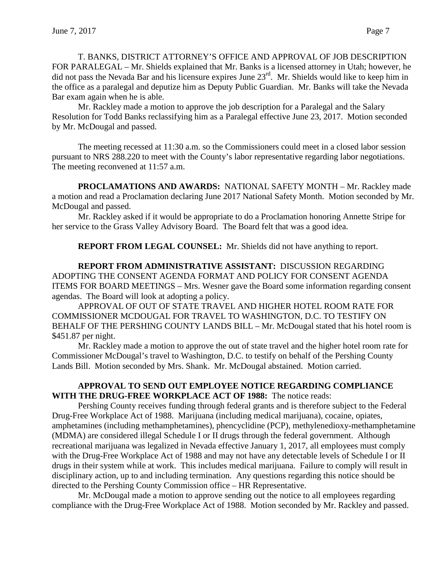T. BANKS, DISTRICT ATTORNEY'S OFFICE AND APPROVAL OF JOB DESCRIPTION FOR PARALEGAL – Mr. Shields explained that Mr. Banks is a licensed attorney in Utah; however, he did not pass the Nevada Bar and his licensure expires June 23<sup>rd</sup>. Mr. Shields would like to keep him in the office as a paralegal and deputize him as Deputy Public Guardian. Mr. Banks will take the Nevada Bar exam again when he is able.

Mr. Rackley made a motion to approve the job description for a Paralegal and the Salary Resolution for Todd Banks reclassifying him as a Paralegal effective June 23, 2017. Motion seconded by Mr. McDougal and passed.

The meeting recessed at 11:30 a.m. so the Commissioners could meet in a closed labor session pursuant to NRS 288.220 to meet with the County's labor representative regarding labor negotiations. The meeting reconvened at 11:57 a.m.

**PROCLAMATIONS AND AWARDS:** NATIONAL SAFETY MONTH – Mr. Rackley made a motion and read a Proclamation declaring June 2017 National Safety Month. Motion seconded by Mr. McDougal and passed.

Mr. Rackley asked if it would be appropriate to do a Proclamation honoring Annette Stripe for her service to the Grass Valley Advisory Board. The Board felt that was a good idea.

**REPORT FROM LEGAL COUNSEL:** Mr. Shields did not have anything to report.

**REPORT FROM ADMINISTRATIVE ASSISTANT:** DISCUSSION REGARDING ADOPTING THE CONSENT AGENDA FORMAT AND POLICY FOR CONSENT AGENDA ITEMS FOR BOARD MEETINGS – Mrs. Wesner gave the Board some information regarding consent agendas. The Board will look at adopting a policy.

APPROVAL OF OUT OF STATE TRAVEL AND HIGHER HOTEL ROOM RATE FOR COMMISSIONER MCDOUGAL FOR TRAVEL TO WASHINGTON, D.C. TO TESTIFY ON BEHALF OF THE PERSHING COUNTY LANDS BILL – Mr. McDougal stated that his hotel room is \$451.87 per night.

Mr. Rackley made a motion to approve the out of state travel and the higher hotel room rate for Commissioner McDougal's travel to Washington, D.C. to testify on behalf of the Pershing County Lands Bill. Motion seconded by Mrs. Shank. Mr. McDougal abstained. Motion carried.

### **APPROVAL TO SEND OUT EMPLOYEE NOTICE REGARDING COMPLIANCE WITH THE DRUG-FREE WORKPLACE ACT OF 1988:** The notice reads:

Pershing County receives funding through federal grants and is therefore subject to the Federal Drug-Free Workplace Act of 1988. Marijuana (including medical marijuana), cocaine, opiates, amphetamines (including methamphetamines), phencyclidine (PCP), methylenedioxy-methamphetamine (MDMA) are considered illegal Schedule I or II drugs through the federal government. Although recreational marijuana was legalized in Nevada effective January 1, 2017, all employees must comply with the Drug-Free Workplace Act of 1988 and may not have any detectable levels of Schedule I or II drugs in their system while at work. This includes medical marijuana. Failure to comply will result in disciplinary action, up to and including termination. Any questions regarding this notice should be directed to the Pershing County Commission office – HR Representative.

Mr. McDougal made a motion to approve sending out the notice to all employees regarding compliance with the Drug-Free Workplace Act of 1988. Motion seconded by Mr. Rackley and passed.